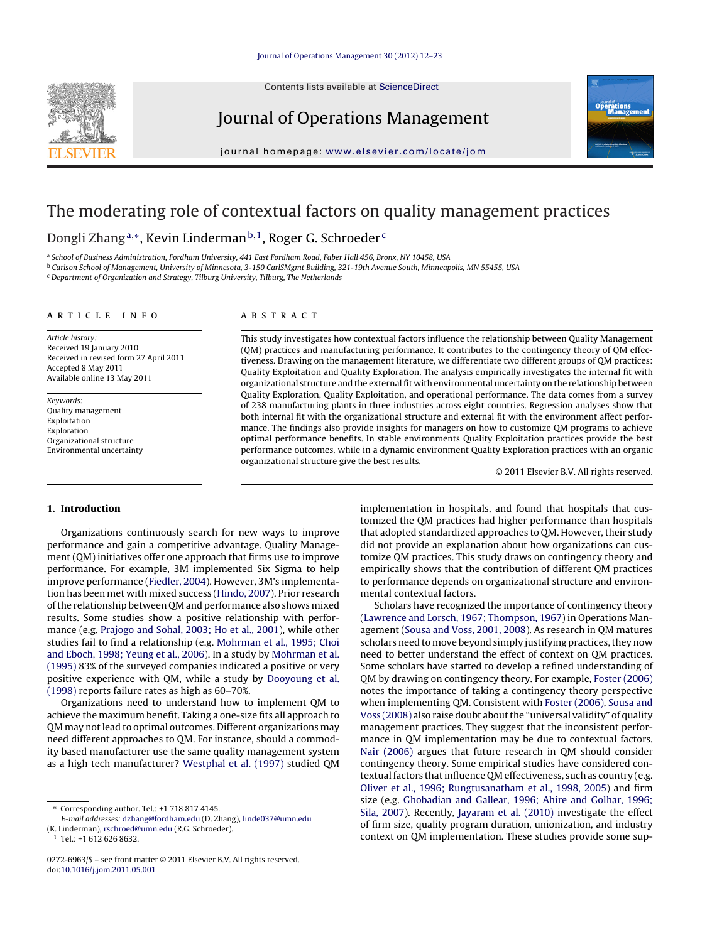Contents lists available at [ScienceDirect](http://www.sciencedirect.com/science/journal/02726963)



Journal of Operations Management



iournal homepage: [www.elsevier.com/locate/jom](http://www.elsevier.com/locate/jom)

# The moderating role of contextual factors on quality management practices

# Dongli Zhang<sup>a,∗</sup>, Kevin Linderman<sup>b,1</sup>, Roger G. Schroeder<sup>c</sup>

<sup>a</sup> School of Business Administration, Fordham University, 441 East Fordham Road, Faber Hall 456, Bronx, NY 10458, USA

<sup>b</sup> Carlson School of Management, University of Minnesota, 3-150 CarlSMgmt Building, 321-19th Avenue South, Minneapolis, MN 55455, USA

<sup>c</sup> Department of Organization and Strategy, Tilburg University, Tilburg, The Netherlands

## a r t i c l e i n f o

Article history: Received 19 January 2010 Received in revised form 27 April 2011 Accepted 8 May 2011 Available online 13 May 2011

Keywords: Quality management Exploitation Exploration Organizational structure Environmental uncertainty

## A B S T R A C T

This study investigates how contextual factors influence the relationship between Quality Management (QM) practices and manufacturing performance. It contributes to the contingency theory of QM effectiveness. Drawing on the management literature, we differentiate two different groups of QM practices: Quality Exploitation and Quality Exploration. The analysis empirically investigates the internal fit with organizational structure and the external fit with environmental uncertainty on the relationship between Quality Exploration, Quality Exploitation, and operational performance. The data comes from a survey of 238 manufacturing plants in three industries across eight countries. Regression analyses show that both internal fit with the organizational structure and external fit with the environment affect performance. The findings also provide insights for managers on how to customize QM programs to achieve optimal performance benefits. In stable environments Quality Exploitation practices provide the best performance outcomes, while in a dynamic environment Quality Exploration practices with an organic organizational structure give the best results.

© 2011 Elsevier B.V. All rights reserved.

## **1. Introduction**

Organizations continuously search for new ways to improve performance and gain a competitive advantage. Quality Management (QM) initiatives offer one approach that firms use to improve performance. For example, 3M implemented Six Sigma to help improve performance ([Fiedler,](#page--1-0) [2004\).](#page--1-0) However, 3M's implementation has been met with mixed success [\(Hindo,](#page--1-0) [2007\).](#page--1-0) Prior research ofthe relationship between QM and performance also shows mixed results. Some studies show a positive relationship with performance (e.g. [Prajogo](#page--1-0) [and](#page--1-0) [Sohal,](#page--1-0) [2003;](#page--1-0) [Ho](#page--1-0) et [al.,](#page--1-0) [2001\),](#page--1-0) while other studies fail to find a relationship (e.g. [Mohrman](#page--1-0) et [al.,](#page--1-0) [1995;](#page--1-0) [Choi](#page--1-0) [and](#page--1-0) [Eboch,](#page--1-0) [1998;](#page--1-0) [Yeung](#page--1-0) et [al.,](#page--1-0) [2006\).](#page--1-0) In a study by [Mohrman](#page--1-0) et [al.](#page--1-0) [\(1995\)](#page--1-0) 83% of the surveyed companies indicated a positive or very positive experience with QM, while a study by [Dooyoung](#page--1-0) [et](#page--1-0) [al.](#page--1-0) [\(1998\)](#page--1-0) reports failure rates as high as 60–70%.

Organizations need to understand how to implement QM to achieve the maximum benefit. Taking a one-size fits all approach to QM may not lead to optimal outcomes. Different organizations may need different approaches to QM. For instance, should a commodity based manufacturer use the same quality management system as a high tech manufacturer? [Westphal](#page--1-0) et [al.](#page--1-0) [\(1997\)](#page--1-0) studied QM implementation in hospitals, and found that hospitals that customized the QM practices had higher performance than hospitals that adopted standardized approaches to QM. However, their study did not provide an explanation about how organizations can customize QM practices. This study draws on contingency theory and empirically shows that the contribution of different QM practices to performance depends on organizational structure and environmental contextual factors.

Scholars have recognized the importance of contingency theory [\(Lawrence](#page--1-0) [and](#page--1-0) [Lorsch,](#page--1-0) [1967;](#page--1-0) [Thompson,](#page--1-0) [1967\)](#page--1-0) in Operations Management ([Sousa](#page--1-0) [and](#page--1-0) [Voss,](#page--1-0) [2001,](#page--1-0) [2008\).](#page--1-0) As research in QM matures scholars need to move beyond simply justifying practices, they now need to better understand the effect of context on QM practices. Some scholars have started to develop a refined understanding of QM by drawing on contingency theory. For example, [Foster](#page--1-0) [\(2006\)](#page--1-0) notes the importance of taking a contingency theory perspective when implementing QM. Consistent with [Foster](#page--1-0) [\(2006\),](#page--1-0) [Sousa](#page--1-0) [and](#page--1-0) [Voss](#page--1-0) [\(2008\)](#page--1-0) also raise doubt aboutthe "universal validity" of quality management practices. They suggest that the inconsistent performance in QM implementation may be due to contextual factors. [Nair](#page--1-0) [\(2006\)](#page--1-0) argues that future research in QM should consider contingency theory. Some empirical studies have considered contextual factors that influence QM effectiveness, such as country (e.g. [Oliver](#page--1-0) et [al.,](#page--1-0) [1996;](#page--1-0) [Rungtusanatham](#page--1-0) et [al.,](#page--1-0) [1998,](#page--1-0) [2005\)](#page--1-0) and firm size (e.g. [Ghobadian](#page--1-0) [and](#page--1-0) [Gallear,](#page--1-0) [1996;](#page--1-0) [Ahire](#page--1-0) [and](#page--1-0) [Golhar,](#page--1-0) [1996;](#page--1-0) [Sila,](#page--1-0) [2007\).](#page--1-0) Recently, [Jayaram](#page--1-0) et [al.](#page--1-0) [\(2010\)](#page--1-0) investigate the effect of firm size, quality program duration, unionization, and industry context on QM implementation. These studies provide some sup-

<sup>∗</sup> Corresponding author. Tel.: +1 718 817 4145.

E-mail addresses: [dzhang@fordham.edu](mailto:dzhang@fordham.edu) (D. Zhang), [linde037@umn.edu](mailto:linde037@umn.edu)

<sup>(</sup>K. Linderman), [rschroed@umn.edu](mailto:rschroed@umn.edu) (R.G. Schroeder).

 $1$  Tel.: +1 612 626 8632.

<sup>0272-6963/\$</sup> – see front matter © 2011 Elsevier B.V. All rights reserved. doi:[10.1016/j.jom.2011.05.001](dx.doi.org/10.1016/j.jom.2011.05.001)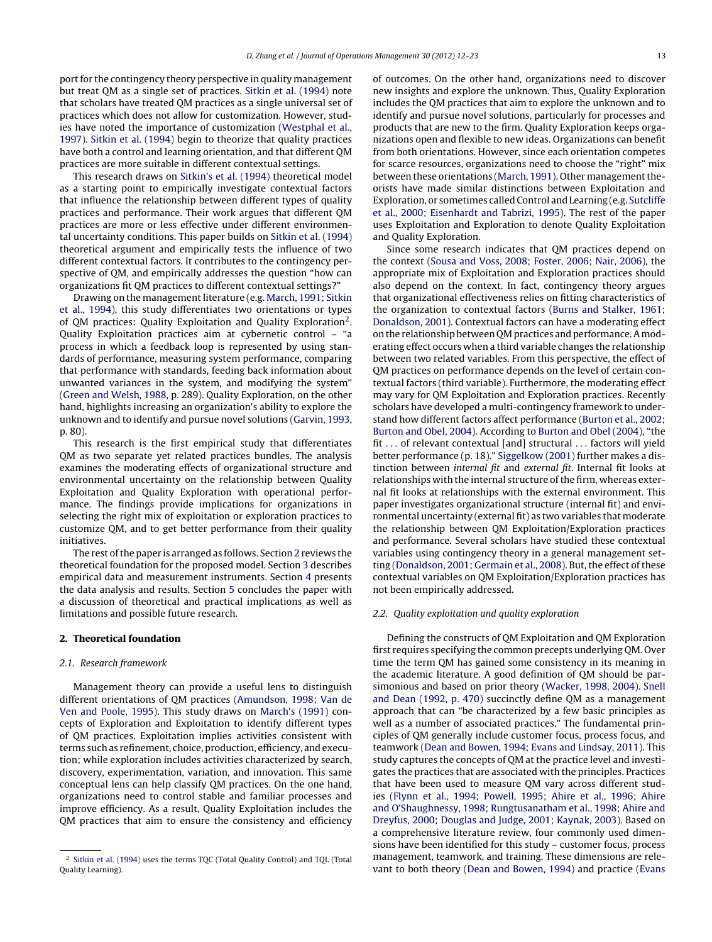port for the contingency theory perspective in quality management but treat QM as a single set of practices. [Sitkin](#page--1-0) et [al.](#page--1-0) [\(1994\)](#page--1-0) note that scholars have treated QM practices as a single universal set of practices which does not allow for customization. However, studies have noted the importance of customization [\(Westphal](#page--1-0) et [al.,](#page--1-0) [1997\).](#page--1-0) [Sitkin](#page--1-0) et [al.](#page--1-0) [\(1994\)](#page--1-0) begin to theorize that quality practices have both a control and learning orientation, and that different QM practices are more suitable in different contextual settings.

This research draws on [Sitkin's](#page--1-0) et [al.](#page--1-0) [\(1994\)](#page--1-0) theoretical model as a starting point to empirically investigate contextual factors that influence the relationship between different types of quality practices and performance. Their work argues that different QM practices are more or less effective under different environmental uncertainty conditions. This paper builds on [Sitkin](#page--1-0) et [al.](#page--1-0) [\(1994\)](#page--1-0) theoretical argument and empirically tests the influence of two different contextual factors. It contributes to the contingency perspective of QM, and empirically addresses the question "how can organizations fit QM practices to different contextual settings?"

Drawing on the management literature (e.g. [March,](#page--1-0) [1991;](#page--1-0) [Sitkin](#page--1-0) et [al.,](#page--1-0) [1994\),](#page--1-0) this study differentiates two orientations or types of QM practices: Quality Exploitation and Quality Exploration2. Quality Exploitation practices aim at cybernetic control – "a process in which a feedback loop is represented by using standards of performance, measuring system performance, comparing that performance with standards, feeding back information about unwanted variances in the system, and modifying the system" ([Green](#page--1-0) [and](#page--1-0) [Welsh,](#page--1-0) [1988,](#page--1-0) p. 289). Quality Exploration, on the other hand, highlights increasing an organization's ability to explore the unknown and to identify and pursue novel solutions [\(Garvin,](#page--1-0) [1993,](#page--1-0) p. 80).

This research is the first empirical study that differentiates QM as two separate yet related practices bundles. The analysis examines the moderating effects of organizational structure and environmental uncertainty on the relationship between Quality Exploitation and Quality Exploration with operational performance. The findings provide implications for organizations in selecting the right mix of exploitation or exploration practices to customize QM, and to get better performance from their quality initiatives.

The rest of the paper is arranged as follows. Section 2 reviews the theoretical foundation for the proposed model. Section [3](#page--1-0) describes empirical data and measurement instruments. Section [4](#page--1-0) presents the data analysis and results. Section [5](#page--1-0) concludes the paper with a discussion of theoretical and practical implications as well as limitations and possible future research.

#### **2. Theoretical foundation**

#### 2.1. Research framework

Management theory can provide a useful lens to distinguish different orientations of QM practices ([Amundson,](#page--1-0) [1998;](#page--1-0) [Van](#page--1-0) [de](#page--1-0) [Ven](#page--1-0) [and](#page--1-0) [Poole,](#page--1-0) [1995\).](#page--1-0) This study draws on [March's](#page--1-0) [\(1991\)](#page--1-0) concepts of Exploration and Exploitation to identify different types of QM practices. Exploitation implies activities consistent with terms such as refinement, choice, production, efficiency, and execution; while exploration includes activities characterized by search, discovery, experimentation, variation, and innovation. This same conceptual lens can help classify QM practices. On the one hand, organizations need to control stable and familiar processes and improve efficiency. As a result, Quality Exploitation includes the QM practices that aim to ensure the consistency and efficiency

of outcomes. On the other hand, organizations need to discover new insights and explore the unknown. Thus, Quality Exploration includes the QM practices that aim to explore the unknown and to identify and pursue novel solutions, particularly for processes and products that are new to the firm. Quality Exploration keeps organizations open and flexible to new ideas. Organizations can benefit from both orientations. However, since each orientation competes for scarce resources, organizations need to choose the "right" mix between these orientations ([March,](#page--1-0) [1991\).](#page--1-0) Other management theorists have made similar distinctions between Exploitation and Exploration, or sometimes called Control and Learning (e.g. [Sutcliffe](#page--1-0) et [al.,](#page--1-0) [2000;](#page--1-0) [Eisenhardt](#page--1-0) [and](#page--1-0) [Tabrizi,](#page--1-0) [1995\).](#page--1-0) The rest of the paper uses Exploitation and Exploration to denote Quality Exploitation and Quality Exploration.

Since some research indicates that QM practices depend on the context ([Sousa](#page--1-0) [and](#page--1-0) [Voss,](#page--1-0) [2008;](#page--1-0) [Foster,](#page--1-0) [2006;](#page--1-0) [Nair,](#page--1-0) [2006\),](#page--1-0) the appropriate mix of Exploitation and Exploration practices should also depend on the context. In fact, contingency theory argues that organizational effectiveness relies on fitting characteristics of the organization to contextual factors ([Burns](#page--1-0) [and](#page--1-0) [Stalker,](#page--1-0) [1961;](#page--1-0) [Donaldson,](#page--1-0) [2001\).](#page--1-0) Contextual factors can have a moderating effect on the relationship between QM practices and performance. A moderating effect occurs when a third variable changes the relationship between two related variables. From this perspective, the effect of QM practices on performance depends on the level of certain contextual factors (third variable). Furthermore, the moderating effect may vary for QM Exploitation and Exploration practices. Recently scholars have developed a multi-contingency framework to understand how different factors affect performance [\(Burton](#page--1-0) et [al.,](#page--1-0) [2002;](#page--1-0) [Burton](#page--1-0) [and](#page--1-0) [Obel,](#page--1-0) [2004\).](#page--1-0) According to [Burton](#page--1-0) [and](#page--1-0) [Obel](#page--1-0) [\(2004\),](#page--1-0) "the fit . . . of relevant contextual [and] structural . . . factors will yield better performance (p. 18)." [Siggelkow](#page--1-0) [\(2001\)](#page--1-0) further makes a distinction between internal fit and external fit. Internal fit looks at relationships with the internal structure of the firm, whereas external fit looks at relationships with the external environment. This paper investigates organizational structure (internal fit) and environmental uncertainty (external fit) as two variables that moderate the relationship between QM Exploitation/Exploration practices and performance. Several scholars have studied these contextual variables using contingency theory in a general management set-ting ([Donaldson,](#page--1-0) [2001;](#page--1-0) [Germain](#page--1-0) et [al.,](#page--1-0) [2008\).](#page--1-0) But, the effect of these contextual variables on QM Exploitation/Exploration practices has not been empirically addressed.

#### 2.2. Quality exploitation and quality exploration

Defining the constructs of QM Exploitation and QM Exploration first requires specifying the common precepts underlying QM. Over time the term QM has gained some consistency in its meaning in the academic literature. A good definition of QM should be parsimonious and based on prior theory ([Wacker,](#page--1-0) [1998,](#page--1-0) [2004\).](#page--1-0) [Snell](#page--1-0) [and](#page--1-0) [Dean](#page--1-0) [\(1992,](#page--1-0) [p.](#page--1-0) [470\)](#page--1-0) succinctly define QM as a management approach that can "be characterized by a few basic principles as well as a number of associated practices." The fundamental principles of QM generally include customer focus, process focus, and teamwork [\(Dean](#page--1-0) [and](#page--1-0) [Bowen,](#page--1-0) [1994;](#page--1-0) [Evans](#page--1-0) [and](#page--1-0) [Lindsay,](#page--1-0) [2011\).](#page--1-0) This study captures the concepts of QM at the practice level and investigates the practices that are associated with the principles. Practices that have been used to measure QM vary across different studies ([Flynn](#page--1-0) et [al.,](#page--1-0) [1994;](#page--1-0) [Powell,](#page--1-0) [1995;](#page--1-0) [Ahire](#page--1-0) et [al.,](#page--1-0) [1996;](#page--1-0) [Ahire](#page--1-0) [and](#page--1-0) [O'Shaughnessy,](#page--1-0) [1998;](#page--1-0) [Rungtusanatham](#page--1-0) et [al.,](#page--1-0) [1998;](#page--1-0) [Ahire](#page--1-0) [and](#page--1-0) [Dreyfus,](#page--1-0) [2000;](#page--1-0) [Douglas](#page--1-0) [and](#page--1-0) [Judge,](#page--1-0) [2001;](#page--1-0) [Kaynak,](#page--1-0) [2003\).](#page--1-0) Based on a comprehensive literature review, four commonly used dimensions have been identified for this study – customer focus, process management, teamwork, and training. These dimensions are relevant to both theory [\(Dean](#page--1-0) [and](#page--1-0) [Bowen,](#page--1-0) [1994\)](#page--1-0) and practice ([Evans](#page--1-0)

<sup>2</sup> [Sitkin](#page--1-0) et [al.](#page--1-0) [\(1994\)](#page--1-0) uses the terms TQC (Total Quality Control) and TQL (Total Quality Learning).